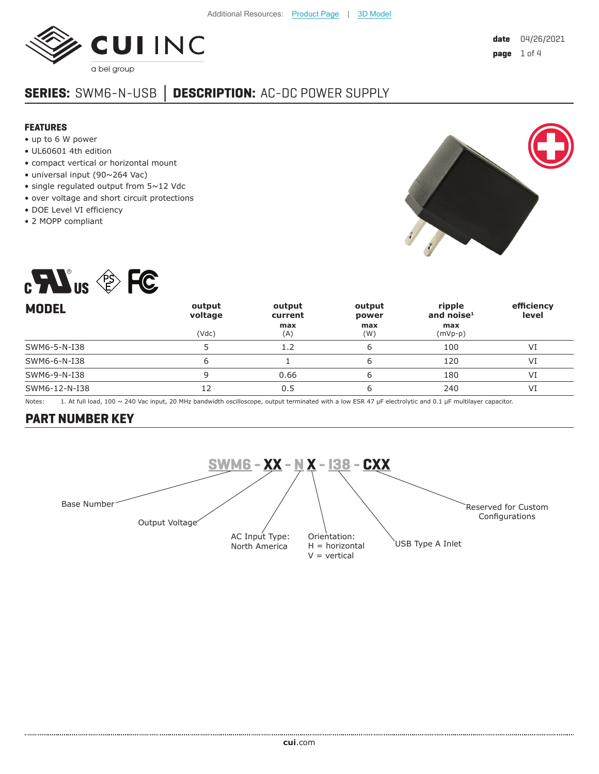

# **SERIES:** SWM6-N-USB **│ DESCRIPTION:** AC-DC POWER SUPPLY

#### **FEATURES**

- up to 6 W power
- UL60601 4th edition
- compact vertical or horizontal mount
- universal input (90~264 Vac)
- single regulated output from 5~12 Vdc
- over voltage and short circuit protections
- DOE Level VI efficiency
- 2 MOPP compliant





| <b>MODEL</b>  | output<br>voltage | output<br>current | output<br>power | ripple<br>and noise $1$ | efficiency<br>level |
|---------------|-------------------|-------------------|-----------------|-------------------------|---------------------|
|               | (Vdc)             | max<br>(A)        | max<br>(W)      | max<br>$(mVp-p)$        |                     |
| SWM6-5-N-I38  |                   | 1.2               | ь               | 100                     | VI                  |
| SWM6-6-N-I38  |                   |                   |                 | 120                     | VI                  |
| SWM6-9-N-I38  | 9                 | 0.66              | ь               | 180                     | VI                  |
| SWM6-12-N-I38 |                   | 0.5               |                 | 240                     | VI                  |

Notes: 1. At full load, 100 ~ 240 Vac input, 20 MHz bandwidth oscilloscope, output terminated with a low ESR 47 μF electrolytic and 0.1 μF multilayer capacitor.

#### **PART NUMBER KEY**

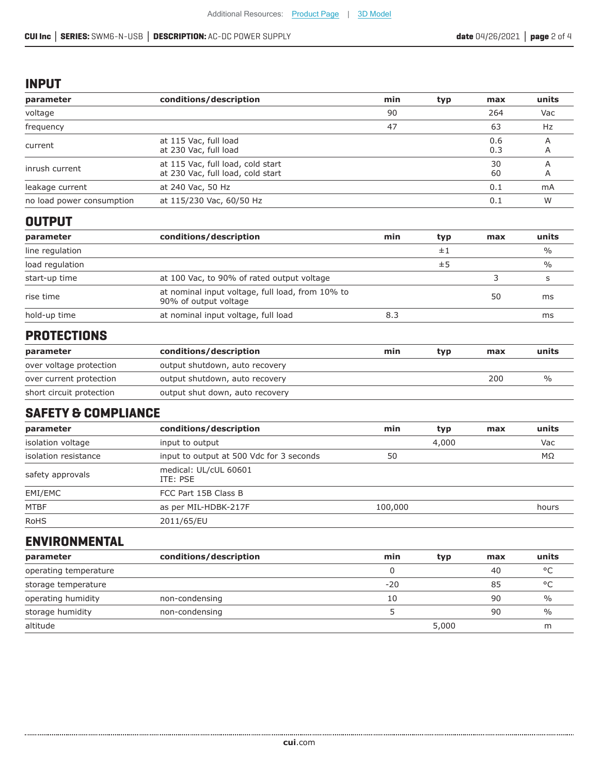#### **INPUT**

| parameter                 | conditions/description                                                    | min | typ | max        | units         |
|---------------------------|---------------------------------------------------------------------------|-----|-----|------------|---------------|
| voltage                   |                                                                           | 90  |     | 264        | Vac           |
| frequency                 |                                                                           | 47  |     | 63         | Hz            |
| current                   | at 115 Vac, full load<br>at 230 Vac, full load                            |     |     | 0.6<br>0.3 | A<br>A        |
| inrush current            | at 115 Vac, full load, cold start<br>at 230 Vac, full load, cold start    |     |     | 30<br>60   | A<br>A        |
| leakage current           | at 240 Vac, 50 Hz                                                         |     |     | 0.1        | mA            |
| no load power consumption | at 115/230 Vac, 60/50 Hz                                                  |     |     | 0.1        | W             |
| <b>OUTPUT</b>             |                                                                           |     |     |            |               |
| parameter                 | conditions/description                                                    | min | typ | max        | units         |
| line regulation           |                                                                           |     | ±1  |            | $\frac{0}{0}$ |
| load regulation           |                                                                           |     | ±5  |            | $\frac{0}{0}$ |
| start-up time             | at 100 Vac, to 90% of rated output voltage                                |     |     | 3          | s             |
| rise time                 | at nominal input voltage, full load, from 10% to<br>90% of output voltage |     |     | 50         | ms            |
| hold-up time              | at nominal input voltage, full load                                       | 8.3 |     |            | ms            |

### **PROTECTIONS**

| parameter                | conditions/description          | min | typ | max | units |
|--------------------------|---------------------------------|-----|-----|-----|-------|
| over voltage protection  | output shutdown, auto recovery  |     |     |     |       |
| over current protection  | output shutdown, auto recovery  |     |     | 200 |       |
| short circuit protection | output shut down, auto recovery |     |     |     |       |

## **SAFETY & COMPLIANCE**

| parameter            | conditions/description                   | min     | typ   | max | units |
|----------------------|------------------------------------------|---------|-------|-----|-------|
| isolation voltage    | input to output                          |         | 4,000 |     | Vac   |
| isolation resistance | input to output at 500 Vdc for 3 seconds | 50      |       |     | MΩ    |
| safety approvals     | medical: UL/cUL 60601<br>ITE: PSE        |         |       |     |       |
| EMI/EMC              | FCC Part 15B Class B                     |         |       |     |       |
| <b>MTBF</b>          | as per MIL-HDBK-217F                     | 100,000 |       |     | hours |
| <b>RoHS</b>          | 2011/65/EU                               |         |       |     |       |

### **ENVIRONMENTAL**

| parameter             | conditions/description | min   | typ   | max | units         |
|-----------------------|------------------------|-------|-------|-----|---------------|
| operating temperature |                        |       |       | 40  | $\circ$       |
| storage temperature   |                        | $-20$ |       | 85  | $\circ$       |
| operating humidity    | non-condensing         | 10    |       | 90  | $\frac{0}{0}$ |
| storage humidity      | non-condensing         |       |       | 90  | $\frac{0}{0}$ |
| altitude              |                        |       | 5,000 |     | m             |

......................................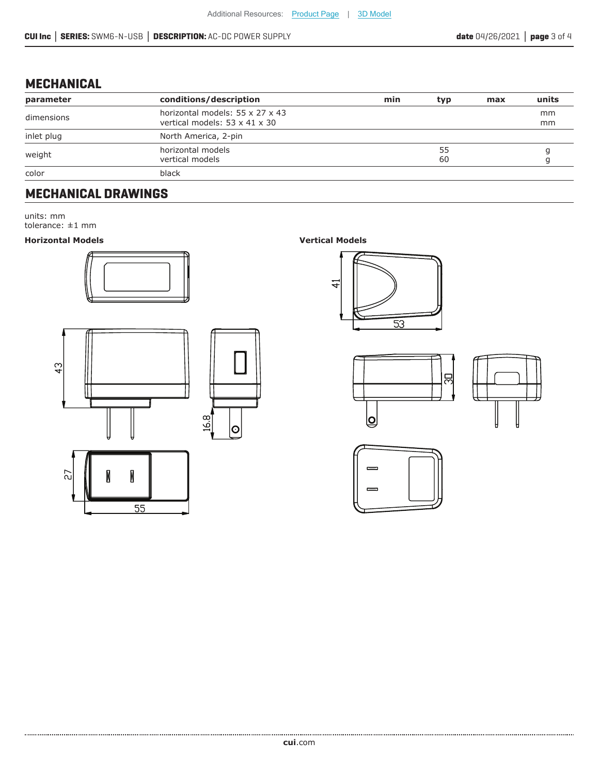## **MECHANICAL**

| parameter  | conditions/description                                                       | min | typ      | max | units    |
|------------|------------------------------------------------------------------------------|-----|----------|-----|----------|
| dimensions | horizontal models: 55 x 27 x 43<br>vertical models: $53 \times 41 \times 30$ |     |          |     | mm<br>mm |
| inlet plug | North America, 2-pin                                                         |     |          |     |          |
| weight     | horizontal models<br>vertical models                                         |     | 55<br>60 |     |          |
| color      | black                                                                        |     |          |     |          |

### **MECHANICAL DRAWINGS**

units: mm

tolerance: ±1 mm

#### **Horizontal Models Vertical Models**